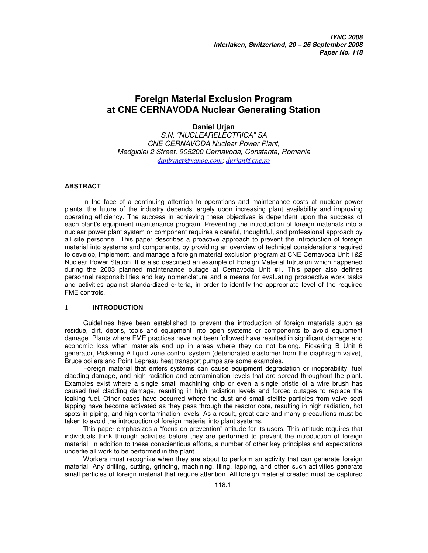# **Foreign Material Exclusion Program at CNE CERNAVODA Nuclear Generating Station**

# **Daniel Urjan**

S.N. "NUCLEARELECTRICA" SA CNE CERNAVODA Nuclear Power Plant, Medgidiei 2 Street, 905200 Cernavoda, Constanta, Romania *danbynet@yahoo.com*; *durjan@cne.ro*

# **ABSTRACT**

In the face of a continuing attention to operations and maintenance costs at nuclear power plants, the future of the industry depends largely upon increasing plant availability and improving operating efficiency. The success in achieving these objectives is dependent upon the success of each plant's equipment maintenance program. Preventing the introduction of foreign materials into a nuclear power plant system or component requires a careful, thoughtful, and professional approach by all site personnel. This paper describes a proactive approach to prevent the introduction of foreign material into systems and components, by providing an overview of technical considerations required to develop, implement, and manage a foreign material exclusion program at CNE Cernavoda Unit 1&2 Nuclear Power Station. It is also described an example of Foreign Material Intrusion which happened during the 2003 planned maintenance outage at Cemavoda Unit #1. This paper also defines personnel responsibilities and key nomenclature and a means for evaluating prospective work tasks and activities against standardized criteria, in order to identify the appropriate level of the required FME controls.

# **1 INTRODUCTION**

Guidelines have been established to prevent the introduction of foreign materials such as residue, dirt, debris, tools and equipment into open systems or components to avoid equipment damage. Plants where FME practices have not been followed have resulted in significant damage and economic loss when materials end up in areas where they do not belong. Pickering B Unit 6 generator, Pickering A liquid zone control system (deteriorated elastomer from the diaphragm valve), Bruce boilers and Point Lepreau heat transport pumps are some examples.

Foreign material that enters systems can cause equipment degradation or inoperability, fuel cladding damage, and high radiation and contamination levels that are spread throughout the plant. Examples exist where a single small machining chip or even a single bristle of a wire brush has caused fuel cladding damage, resulting in high radiation levels and forced outages to replace the leaking fuel. Other cases have occurred where the dust and small stellite particles from valve seat lapping have become activated as they pass through the reactor core, resulting in high radiation, hot spots in piping, and high contamination levels. As a result, great care and many precautions must be taken to avoid the introduction of foreign material into plant systems.

This paper emphasizes a "focus on prevention" attitude for its users. This attitude requires that individuals think through activities before they are performed to prevent the introduction of foreign material. In addition to these conscientious efforts, a number of other key principles and expectations underlie all work to be performed in the plant.

Workers must recognize when they are about to perform an activity that can generate foreign material. Any drilling, cutting, grinding, machining, filing, lapping, and other such activities generate small particles of foreign material that require attention. All foreign material created must be captured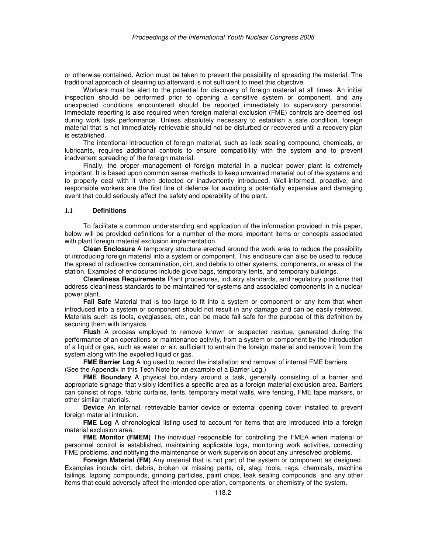or otherwise contained. Action must be taken to prevent the possibility of spreading the material. The traditional approach of cleaning up afterward is not sufficient to meet this objective.

Workers must be alert to the potential for discovery of foreign material at all times. An initial inspection should be performed prior to opening a sensitive system or component, and any unexpected conditions encountered should be reported immediately to supervisory personnel. Immediate reporting is also required when foreign material exclusion (FME) controls are deemed lost during work task performance. Unless absolutely necessary to establish a safe condition, foreign material that is not immediately retrievable should not be disturbed or recovered until a recovery plan is established.

The intentional introduction of foreign material, such as leak sealing compound, chemicals, or lubricants, requires additional controls to ensure compatibility with the system and to prevent inadvertent spreading of the foreign material.

Finally, the proper management of foreign material in a nuclear power plant is extremely important. It is based upon common sense methods to keep unwanted material out of the systems and to properly deal with it when detected or inadvertently introduced. Well-informed, proactive, and responsible workers are the first line of defence for avoiding a potentially expensive and damaging event that could seriously affect the safety and operability of the plant.

# **1.1 Definitions**

To facilitate a common understanding and application of the information provided in this paper, below will be provided definitions for a number of the more important items or concepts associated with plant foreign material exclusion implementation.

**Clean Enclosure** A temporary structure erected around the work area to reduce the possibility of introducing foreign material into a system or component. This enclosure can also be used to reduce the spread of radioactive contamination, dirt, and debris to other systems, components, or areas of the station. Examples of enclosures include glove bags, temporary tents, and temporary buildings.

**Cleanliness Requirements** Plant procedures, industry standards, and regulatory positions that address cleanliness standards to be maintained for systems and associated components in a nuclear power plant.

**Fail Safe** Material that is too large to fit into a system or component or any item that when introduced into a system or component should not result in any damage and can be easily retrieved. Materials such as tools, eyeglasses, etc., can be made fail safe for the purpose of this definition by securing them with lanyards.

**Flush** A process employed to remove known or suspected residue, generated during the performance of an operations or maintenance activity, from a system or component by the introduction of a liquid or gas, such as water or air, sufficient to entrain the foreign material and remove it from the system along with the expelled liquid or gas.

**FME Barrier Log** A log used to record the installation and removal of internal FME barriers. (See the Appendix in this Tech Note for an example of a Barrier Log.)

**FME Boundary** A physical boundary around a task, generally consisting of a barrier and appropriate signage that visibly identifies a specific area as a foreign material exclusion area. Barriers can consist of rope, fabric curtains, tents, temporary metal walls, wire fencing, FME tape markers, or other similar materials.

**Device** An internal, retrievable barrier device or external opening cover installed to prevent foreign material intrusion.

**FME Log** A chronological listing used to account for items that are introduced into a foreign material exclusion area.

**FME Monitor (FMEM)** The individual responsible for controlling the FMEA when material or personnel control is established, maintaining applicable logs, monitoring work activities, correcting FME problems, and notifying the maintenance or work supervision about any unresolved problems.

**Foreign Material (FM)** Any material that is not part of the system or component as designed. Examples include dirt, debris, broken or missing parts, oil, slag, tools, rags, chemicals, machine tailings, lapping compounds, grinding particles, paint chips, leak sealing compounds, and any other items that could adversely affect the intended operation, components, or chemistry of the system.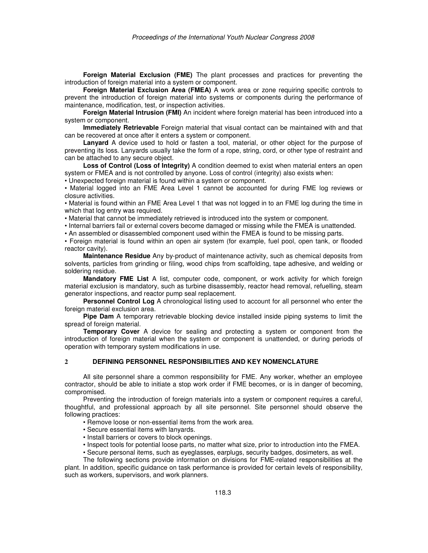**Foreign Material Exclusion (FME)** The plant processes and practices for preventing the introduction of foreign material into a system or component.

**Foreign Material Exclusion Area (FMEA)** A work area or zone requiring specific controls to prevent the introduction of foreign material into systems or components during the performance of maintenance, modification, test, or inspection activities.

**Foreign Material Intrusion (FMI)** An incident where foreign material has been introduced into a system or component.

**Immediately Retrievable** Foreign material that visual contact can be maintained with and that can be recovered at once after it enters a system or component.

**Lanyard** A device used to hold or fasten a tool, material, or other object for the purpose of preventing its loss. Lanyards usually take the form of a rope, string, cord, or other type of restraint and can be attached to any secure object.

**Loss of Control (Loss of Integrity)** A condition deemed to exist when material enters an open system or FMEA and is not controlled by anyone. Loss of control (integrity) also exists when:

• Unexpected foreign material is found within a system or component.

• Material logged into an FME Area Level 1 cannot be accounted for during FME log reviews or closure activities.

• Material is found within an FME Area Level 1 that was not logged in to an FME log during the time in which that log entry was required.

• Material that cannot be immediately retrieved is introduced into the system or component.

• Internal barriers fail or external covers become damaged or missing while the FMEA is unattended.

• An assembled or disassembled component used within the FMEA is found to be missing parts.

• Foreign material is found within an open air system (for example, fuel pool, open tank, or flooded reactor cavity).

**Maintenance Residue** Any by-product of maintenance activity, such as chemical deposits from solvents, particles from grinding or filing, wood chips from scaffolding, tape adhesive, and welding or soldering residue.

**Mandatory FME List** A list, computer code, component, or work activity for which foreign material exclusion is mandatory, such as turbine disassembly, reactor head removal, refuelling, steam generator inspections, and reactor pump seal replacement.

**Personnel Control Log** A chronological listing used to account for all personnel who enter the foreign material exclusion area.

**Pipe Dam** A temporary retrievable blocking device installed inside piping systems to limit the spread of foreign material.

**Temporary Cover** A device for sealing and protecting a system or component from the introduction of foreign material when the system or component is unattended, or during periods of operation with temporary system modifications in use.

# **2 DEFINING PERSONNEL RESPONSIBILITIES AND KEY NOMENCLATURE**

All site personnel share a common responsibility for FME. Any worker, whether an employee contractor, should be able to initiate a stop work order if FME becomes, or is in danger of becoming, compromised.

Preventing the introduction of foreign materials into a system or component requires a careful, thoughtful, and professional approach by all site personnel. Site personnel should observe the following practices:

• Remove loose or non-essential items from the work area.

- Secure essential items with lanyards.
- Install barriers or covers to block openings.
- Inspect tools for potential loose parts, no matter what size, prior to introduction into the FMEA.

• Secure personal items, such as eyeglasses, earplugs, security badges, dosimeters, as well.

The following sections provide information on divisions for FME-related responsibilities at the plant. In addition, specific guidance on task performance is provided for certain levels of responsibility, such as workers, supervisors, and work planners.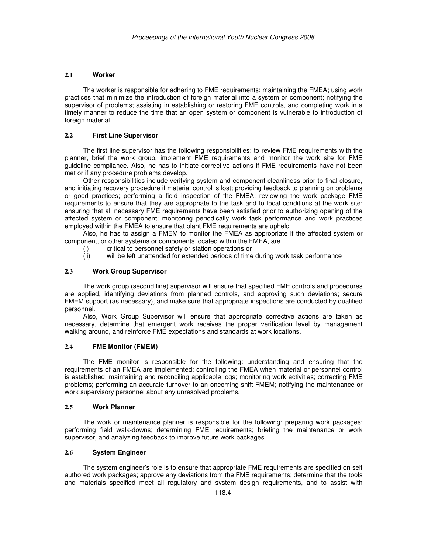## **2.1 Worker**

The worker is responsible for adhering to FME requirements; maintaining the FMEA; using work practices that minimize the introduction of foreign material into a system or component; notifying the supervisor of problems; assisting in establishing or restoring FME controls, and completing work in a timely manner to reduce the time that an open system or component is vulnerable to introduction of foreign material.

# **2.2 First Line Supervisor**

The first line supervisor has the following responsibilities: to review FME requirements with the planner, brief the work group, implement FME requirements and monitor the work site for FME guideline compliance. Also, he has to initiate corrective actions if FME requirements have not been met or if any procedure problems develop.

Other responsibilities include verifying system and component cleanliness prior to final closure, and initiating recovery procedure if material control is lost; providing feedback to planning on problems or good practices; performing a field inspection of the FMEA; reviewing the work package FME requirements to ensure that they are appropriate to the task and to local conditions at the work site; ensuring that all necessary FME requirements have been satisfied prior to authorizing opening of the affected system or component; monitoring periodically work task performance and work practices employed within the FMEA to ensure that plant FME requirements are upheld

Also, he has to assign a FMEM to monitor the FMEA as appropriate if the affected system or component, or other systems or components located within the FMEA, are

- (i) critical to personnel safety or station operations or
- (ii) will be left unattended for extended periods of time during work task performance

#### **2.3 Work Group Supervisor**

The work group (second line) supervisor will ensure that specified FME controls and procedures are applied, identifying deviations from planned controls, and approving such deviations; secure FMEM support (as necessary), and make sure that appropriate inspections are conducted by qualified personnel.

Also, Work Group Supervisor will ensure that appropriate corrective actions are taken as necessary, determine that emergent work receives the proper verification level by management walking around, and reinforce FME expectations and standards at work locations.

## **2.4 FME Monitor (FMEM)**

The FME monitor is responsible for the following: understanding and ensuring that the requirements of an FMEA are implemented; controlling the FMEA when material or personnel control is established; maintaining and reconciling applicable logs; monitoring work activities; correcting FME problems; performing an accurate turnover to an oncoming shift FMEM; notifying the maintenance or work supervisory personnel about any unresolved problems.

# **2.5 Work Planner**

The work or maintenance planner is responsible for the following: preparing work packages; performing field walk-downs; determining FME requirements; briefing the maintenance or work supervisor, and analyzing feedback to improve future work packages.

## **2.6 System Engineer**

The system engineer's role is to ensure that appropriate FME requirements are specified on self authored work packages; approve any deviations from the FME requirements; determine that the tools and materials specified meet all regulatory and system design requirements, and to assist with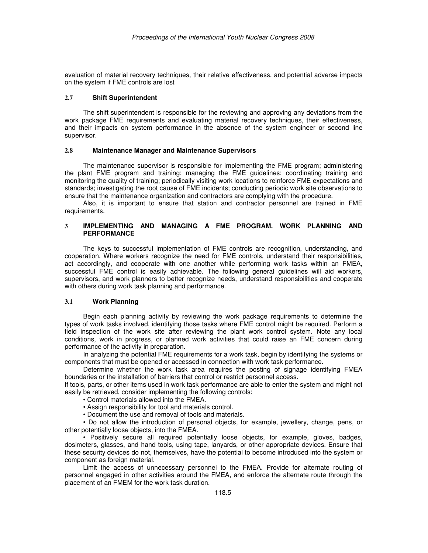evaluation of material recovery techniques, their relative effectiveness, and potential adverse impacts on the system if FME controls are lost

#### **2.7 Shift Superintendent**

The shift superintendent is responsible for the reviewing and approving any deviations from the work package FME requirements and evaluating material recovery techniques, their effectiveness, and their impacts on system performance in the absence of the system engineer or second line supervisor.

#### **2.8 Maintenance Manager and Maintenance Supervisors**

The maintenance supervisor is responsible for implementing the FME program; administering the plant FME program and training; managing the FME guidelines; coordinating training and monitoring the quality of training; periodically visiting work locations to reinforce FME expectations and standards; investigating the root cause of FME incidents; conducting periodic work site observations to ensure that the maintenance organization and contractors are complying with the procedure.

Also, it is important to ensure that station and contractor personnel are trained in FME requirements.

## **3 IMPLEMENTING AND MANAGING A FME PROGRAM. WORK PLANNING AND PERFORMANCE**

The keys to successful implementation of FME controls are recognition, understanding, and cooperation. Where workers recognize the need for FME controls, understand their responsibilities, act accordingly, and cooperate with one another while performing work tasks within an FMEA, successful FME control is easily achievable. The following general guidelines will aid workers, supervisors, and work planners to better recognize needs, understand responsibilities and cooperate with others during work task planning and performance.

## **3.1 Work Planning**

Begin each planning activity by reviewing the work package requirements to determine the types of work tasks involved, identifying those tasks where FME control might be required. Perform a field inspection of the work site after reviewing the plant work control system. Note any local conditions, work in progress, or planned work activities that could raise an FME concern during performance of the activity in preparation.

In analyzing the potential FME requirements for a work task, begin by identifying the systems or components that must be opened or accessed in connection with work task performance.

Determine whether the work task area requires the posting of signage identifying FMEA boundaries or the installation of barriers that control or restrict personnel access.

If tools, parts, or other items used in work task performance are able to enter the system and might not easily be retrieved, consider implementing the following controls:

- Control materials allowed into the FMEA.
- Assign responsibility for tool and materials control.
- Document the use and removal of tools and materials.

• Do not allow the introduction of personal objects, for example, jewellery, change, pens, or other potentially loose objects, into the FMEA.

• Positively secure all required potentially loose objects, for example, gloves, badges, dosimeters, glasses, and hand tools, using tape, lanyards, or other appropriate devices. Ensure that these security devices do not, themselves, have the potential to become introduced into the system or component as foreign material.

Limit the access of unnecessary personnel to the FMEA. Provide for alternate routing of personnel engaged in other activities around the FMEA, and enforce the alternate route through the placement of an FMEM for the work task duration.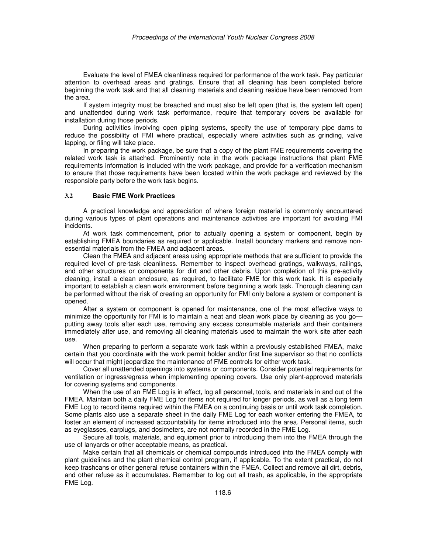Evaluate the level of FMEA cleanliness required for performance of the work task. Pay particular attention to overhead areas and gratings. Ensure that all cleaning has been completed before beginning the work task and that all cleaning materials and cleaning residue have been removed from the area.

If system integrity must be breached and must also be left open (that is, the system left open) and unattended during work task performance, require that temporary covers be available for installation during those periods.

During activities involving open piping systems, specify the use of temporary pipe dams to reduce the possibility of FMI where practical, especially where activities such as grinding, valve lapping, or filing will take place.

In preparing the work package, be sure that a copy of the plant FME requirements covering the related work task is attached. Prominently note in the work package instructions that plant FME requirements information is included with the work package, and provide for a verification mechanism to ensure that those requirements have been located within the work package and reviewed by the responsible party before the work task begins.

## **3.2 Basic FME Work Practices**

A practical knowledge and appreciation of where foreign material is commonly encountered during various types of plant operations and maintenance activities are important for avoiding FMI incidents.

At work task commencement, prior to actually opening a system or component, begin by establishing FMEA boundaries as required or applicable. Install boundary markers and remove nonessential materials from the FMEA and adjacent areas.

Clean the FMEA and adjacent areas using appropriate methods that are sufficient to provide the required level of pre-task cleanliness. Remember to inspect overhead gratings, walkways, railings, and other structures or components for dirt and other debris. Upon completion of this pre-activity cleaning, install a clean enclosure, as required, to facilitate FME for this work task. It is especially important to establish a clean work environment before beginning a work task. Thorough cleaning can be performed without the risk of creating an opportunity for FMI only before a system or component is opened.

After a system or component is opened for maintenance, one of the most effective ways to minimize the opportunity for FMI is to maintain a neat and clean work place by cleaning as you go putting away tools after each use, removing any excess consumable materials and their containers immediately after use, and removing all cleaning materials used to maintain the work site after each use.

When preparing to perform a separate work task within a previously established FMEA, make certain that you coordinate with the work permit holder and/or first line supervisor so that no conflicts will occur that might jeopardize the maintenance of FME controls for either work task.

Cover all unattended openings into systems or components. Consider potential requirements for ventilation or ingress/egress when implementing opening covers. Use only plant-approved materials for covering systems and components.

When the use of an FME Log is in effect, log all personnel, tools, and materials in and out of the FMEA. Maintain both a daily FME Log for items not required for longer periods, as well as a long term FME Log to record items required within the FMEA on a continuing basis or until work task completion. Some plants also use a separate sheet in the daily FME Log for each worker entering the FMEA, to foster an element of increased accountability for items introduced into the area. Personal items, such as eyeglasses, earplugs, and dosimeters, are not normally recorded in the FME Log.

Secure all tools, materials, and equipment prior to introducing them into the FMEA through the use of lanyards or other acceptable means, as practical.

Make certain that all chemicals or chemical compounds introduced into the FMEA comply with plant guidelines and the plant chemical control program, if applicable. To the extent practical, do not keep trashcans or other general refuse containers within the FMEA. Collect and remove all dirt, debris, and other refuse as it accumulates. Remember to log out all trash, as applicable, in the appropriate FME Log.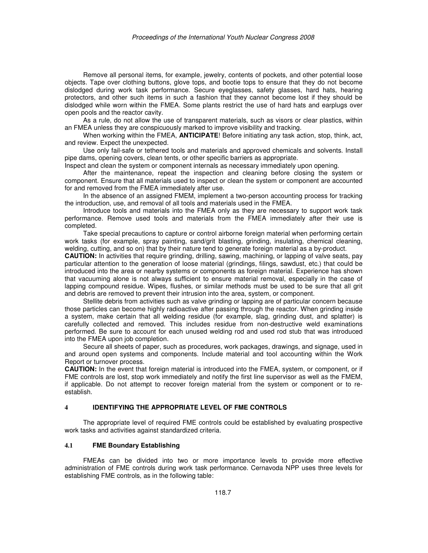Remove all personal items, for example, jewelry, contents of pockets, and other potential loose objects. Tape over clothing buttons, glove tops, and bootie tops to ensure that they do not become dislodged during work task performance. Secure eyeglasses, safety glasses, hard hats, hearing protectors, and other such items in such a fashion that they cannot become lost if they should be dislodged while worn within the FMEA. Some plants restrict the use of hard hats and earplugs over open pools and the reactor cavity.

As a rule, do not allow the use of transparent materials, such as visors or clear plastics, within an FMEA unless they are conspicuously marked to improve visibility and tracking.

When working within the FMEA, **ANTICIPATE**! Before initiating any task action, stop, think, act, and review. Expect the unexpected.

Use only fail-safe or tethered tools and materials and approved chemicals and solvents. Install pipe dams, opening covers, clean tents, or other specific barriers as appropriate.

Inspect and clean the system or component internals as necessary immediately upon opening.

After the maintenance, repeat the inspection and cleaning before closing the system or component. Ensure that all materials used to inspect or clean the system or component are accounted for and removed from the FMEA immediately after use.

In the absence of an assigned FMEM, implement a two-person accounting process for tracking the introduction, use, and removal of all tools and materials used in the FMEA.

Introduce tools and materials into the FMEA only as they are necessary to support work task performance. Remove used tools and materials from the FMEA immediately after their use is completed.

Take special precautions to capture or control airborne foreign material when performing certain work tasks (for example, spray painting, sand/grit blasting, grinding, insulating, chemical cleaning, welding, cutting, and so on) that by their nature tend to generate foreign material as a by-product.

**CAUTION:** In activities that require grinding, drilling, sawing, machining, or lapping of valve seats, pay particular attention to the generation of loose material (grindings, filings, sawdust, etc.) that could be introduced into the area or nearby systems or components as foreign material. Experience has shown that vacuuming alone is not always sufficient to ensure material removal, especially in the case of lapping compound residue. Wipes, flushes, or similar methods must be used to be sure that all grit and debris are removed to prevent their intrusion into the area, system, or component.

Stellite debris from activities such as valve grinding or lapping are of particular concern because those particles can become highly radioactive after passing through the reactor. When grinding inside a system, make certain that all welding residue (for example, slag, grinding dust, and splatter) is carefully collected and removed. This includes residue from non-destructive weld examinations performed. Be sure to account for each unused welding rod and used rod stub that was introduced into the FMEA upon job completion.

Secure all sheets of paper, such as procedures, work packages, drawings, and signage, used in and around open systems and components. Include material and tool accounting within the Work Report or turnover process.

**CAUTION:** In the event that foreign material is introduced into the FMEA, system, or component, or if FME controls are lost, stop work immediately and notify the first line supervisor as well as the FMEM, if applicable. Do not attempt to recover foreign material from the system or component or to reestablish.

#### **4 IDENTIFYING THE APPROPRIATE LEVEL OF FME CONTROLS**

The appropriate level of required FME controls could be established by evaluating prospective work tasks and activities against standardized criteria.

## **4.1 FME Boundary Establishing**

FMEAs can be divided into two or more importance levels to provide more effective administration of FME controls during work task performance. Cernavoda NPP uses three levels for establishing FME controls, as in the following table: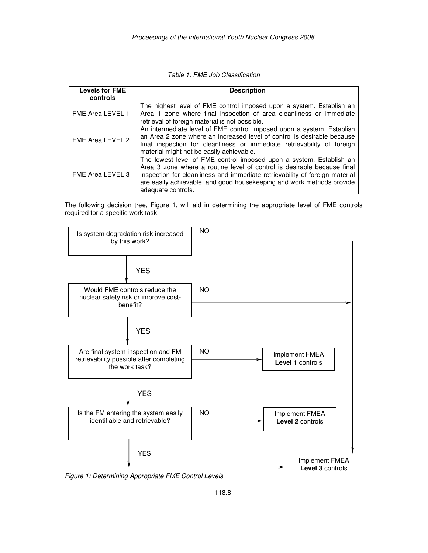| <b>Levels for FME</b><br>controls | <b>Description</b>                                                                                                                                                                                                                                                                                                           |  |
|-----------------------------------|------------------------------------------------------------------------------------------------------------------------------------------------------------------------------------------------------------------------------------------------------------------------------------------------------------------------------|--|
| FME Area LEVEL 1                  | The highest level of FME control imposed upon a system. Establish an<br>Area 1 zone where final inspection of area cleanliness or immediate<br>retrieval of foreign material is not possible.                                                                                                                                |  |
| FME Area LEVEL 2                  | An intermediate level of FME control imposed upon a system. Establish<br>an Area 2 zone where an increased level of control is desirable because<br>final inspection for cleanliness or immediate retrievability of foreign<br>material might not be easily achievable.                                                      |  |
| FME Area LEVEL 3                  | The lowest level of FME control imposed upon a system. Establish an<br>Area 3 zone where a routine level of control is desirable because final<br>inspection for cleanliness and immediate retrievability of foreign material<br>are easily achievable, and good housekeeping and work methods provide<br>adequate controls. |  |

The following decision tree, Figure 1, will aid in determining the appropriate level of FME controls required for a specific work task.



Figure 1: Determining Appropriate FME Control Levels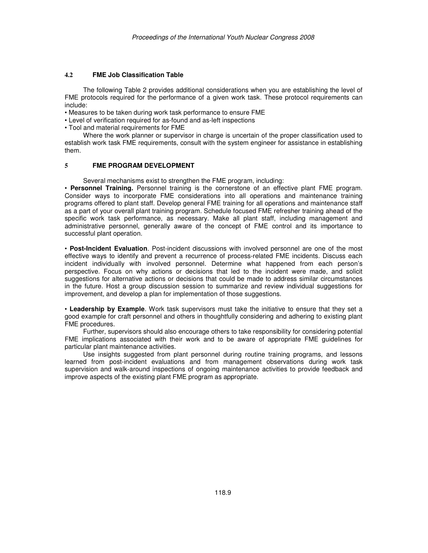# **4.2 FME Job Classification Table**

The following Table 2 provides additional considerations when you are establishing the level of FME protocols required for the performance of a given work task. These protocol requirements can include:

- Measures to be taken during work task performance to ensure FME
- Level of verification required for as-found and as-left inspections
- Tool and material requirements for FME

Where the work planner or supervisor in charge is uncertain of the proper classification used to establish work task FME requirements, consult with the system engineer for assistance in establishing them.

# **5 FME PROGRAM DEVELOPMENT**

Several mechanisms exist to strengthen the FME program, including:

• **Personnel Training.** Personnel training is the cornerstone of an effective plant FME program. Consider ways to incorporate FME considerations into all operations and maintenance training programs offered to plant staff. Develop general FME training for all operations and maintenance staff as a part of your overall plant training program. Schedule focused FME refresher training ahead of the specific work task performance, as necessary. Make all plant staff, including management and administrative personnel, generally aware of the concept of FME control and its importance to successful plant operation.

• **Post-Incident Evaluation**. Post-incident discussions with involved personnel are one of the most effective ways to identify and prevent a recurrence of process-related FME incidents. Discuss each incident individually with involved personnel. Determine what happened from each person's perspective. Focus on why actions or decisions that led to the incident were made, and solicit suggestions for alternative actions or decisions that could be made to address similar circumstances in the future. Host a group discussion session to summarize and review individual suggestions for improvement, and develop a plan for implementation of those suggestions.

• **Leadership by Example**. Work task supervisors must take the initiative to ensure that they set a good example for craft personnel and others in thoughtfully considering and adhering to existing plant FME procedures.

Further, supervisors should also encourage others to take responsibility for considering potential FME implications associated with their work and to be aware of appropriate FME guidelines for particular plant maintenance activities.

Use insights suggested from plant personnel during routine training programs, and lessons learned from post-incident evaluations and from management observations during work task supervision and walk-around inspections of ongoing maintenance activities to provide feedback and improve aspects of the existing plant FME program as appropriate.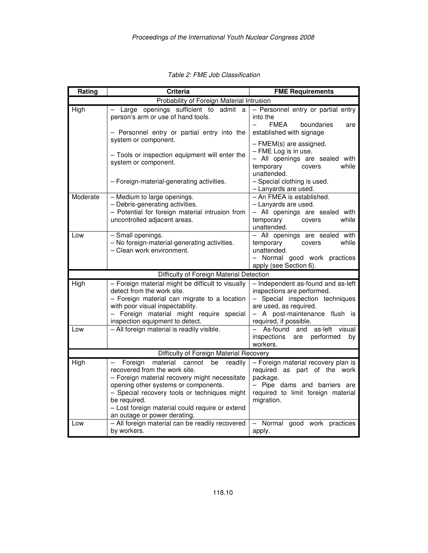| Rating                                    | <b>Criteria</b>                                                                                                                                                                                                                                                                                                                    | <b>FME Requirements</b>                                                                                                                                                                   |  |
|-------------------------------------------|------------------------------------------------------------------------------------------------------------------------------------------------------------------------------------------------------------------------------------------------------------------------------------------------------------------------------------|-------------------------------------------------------------------------------------------------------------------------------------------------------------------------------------------|--|
| Probability of Foreign Material Intrusion |                                                                                                                                                                                                                                                                                                                                    |                                                                                                                                                                                           |  |
| High                                      | Large openings sufficient to admit a<br>person's arm or use of hand tools.<br>- Personnel entry or partial entry into the                                                                                                                                                                                                          | - Personnel entry or partial entry<br>into the<br><b>FMEA</b><br>boundaries<br>are<br>established with signage                                                                            |  |
|                                           | system or component.<br>- Tools or inspection equipment will enter the<br>system or component.<br>- Foreign-material-generating activities.                                                                                                                                                                                        | - FMEM(s) are assigned.<br>$-$ FME Log is in use.<br>- All openings are sealed with<br>while<br>temporary<br>covers<br>unattended.<br>- Special clothing is used.<br>- Lanyards are used. |  |
| Moderate                                  | - Medium to large openings.<br>- Debris-generating activities.<br>- Potential for foreign material intrusion from<br>uncontrolled adjacent areas.                                                                                                                                                                                  | - An FMEA is established.<br>- Lanyards are used.<br>- All openings are sealed with<br>while<br>temporary<br>covers<br>unattended.                                                        |  |
| Low                                       | - Small openings.<br>- No foreign-material-generating activities.<br>- Clean work environment.                                                                                                                                                                                                                                     | - All openings are sealed with<br>while<br>temporary<br>covers<br>unattended.<br>- Normal good work practices<br>apply (see Section 6).                                                   |  |
|                                           | Difficulty of Foreign Material Detection                                                                                                                                                                                                                                                                                           |                                                                                                                                                                                           |  |
| High                                      | - Foreign material might be difficult to visually<br>detect from the work site.<br>- Foreign material can migrate to a location<br>with poor visual inspectability.<br>- Foreign material might require special<br>inspection equipment to detect.                                                                                 | - Independent as-found and as-left<br>inspections are performed.<br>- Special inspection techniques<br>are used, as required.<br>- A post-maintenance flush is<br>required, if possible.  |  |
| Low                                       | - All foreign material is readily visible.                                                                                                                                                                                                                                                                                         | and as-left<br>$\overline{a}$<br>As-found<br>visual<br>inspections<br>performed<br>are<br>bv<br>workers.                                                                                  |  |
|                                           | Difficulty of Foreign Material Recovery                                                                                                                                                                                                                                                                                            |                                                                                                                                                                                           |  |
| <b>High</b>                               | Foreign<br>material<br>cannot<br>be<br>readily<br>$-$<br>recovered from the work site.<br>- Foreign material recovery might necessitate<br>opening other systems or components.<br>- Special recovery tools or techniques might<br>be required.<br>- Lost foreign material could require or extend<br>an outage or power derating. | - Foreign material recovery plan is<br>required as part of the work<br>package.<br>- Pipe dams and barriers are<br>required to limit foreign material<br>migration.                       |  |
| Low                                       | - All foreign material can be readily recovered<br>by workers.                                                                                                                                                                                                                                                                     | - Normal good work practices<br>apply.                                                                                                                                                    |  |

Table 2: FME Job Classification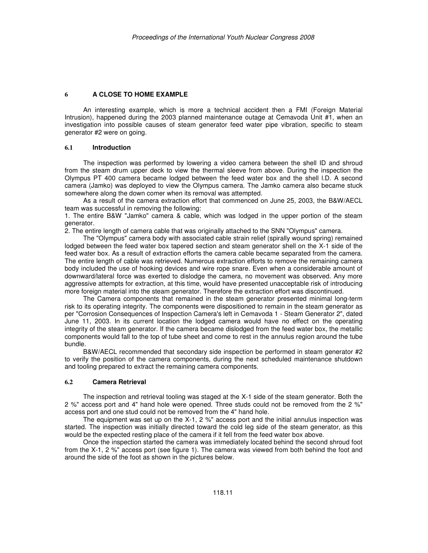## **6 A CLOSE TO HOME EXAMPLE**

An interesting example, which is more a technical accident then a FMI (Foreign Material Intrusion), happened during the 2003 planned maintenance outage at Cemavoda Unit #1, when an investigation into possible causes of steam generator feed water pipe vibration, specific to steam generator #2 were on going.

#### **6.1 Introduction**

The inspection was performed by lowering a video camera between the shell ID and shroud from the steam drum upper deck to view the thermal sleeve from above. During the inspection the Olympus PT 400 camera became lodged between the feed water box and the shell l.D. A second camera (Jamko) was deployed to view the Olympus camera. The Jamko camera also became stuck somewhere along the down comer when its removal was attempted.

As a result of the camera extraction effort that commenced on June 25, 2003, the B&W/AECL team was successful in removing the following:

1. The entire B&W "Jamko" camera & cable, which was lodged in the upper portion of the steam generator.

2. The entire length of camera cable that was originally attached to the SNN "Olympus" camera.

The "Olympus" camera body with associated cable strain relief (spirally wound spring) remained lodged between the feed water box tapered section and steam generator shell on the X-1 side of the feed water box. As a result of extraction efforts the camera cable became separated from the camera. The entire length of cable was retrieved. Numerous extraction efforts to remove the remaining camera body included the use of hooking devices and wire rope snare. Even when a considerable amount of downward/lateral force was exerted to dislodge the camera, no movement was observed. Any more aggressive attempts for extraction, at this time, would have presented unacceptable risk of introducing more foreign material into the steam generator. Therefore the extraction effort was discontinued.

The Camera components that remained in the steam generator presented minimal long-term risk to its operating integrity. The components were dispositioned to remain in the steam generator as per "Corrosion Consequences of Inspection Camera's left in Cemavoda 1 - Steam Generator 2", dated June 11, 2003. In its current location the lodged camera would have no effect on the operating integrity of the steam generator. If the camera became dislodged from the feed water box, the metallic components would fall to the top of tube sheet and come to rest in the annulus region around the tube bundle.

B&W/AECL recommended that secondary side inspection be performed in steam generator #2 to verify the position of the camera components, during the next scheduled maintenance shutdown and tooling prepared to extract the remaining camera components.

## **6.2 Camera Retrieval**

The inspection and retrieval tooling was staged at the X-1 side of the steam generator. Both the 2 %" access port and 4" hand hole were opened. Three studs could not be removed from the 2 %" access port and one stud could not be removed from the 4" hand hole.

The equipment was set up on the X-1, 2 %" access port and the initial annulus inspection was started. The inspection was initially directed toward the cold leg side of the steam generator, as this would be the expected resting place of the camera if it fell from the feed water box above.

Once the inspection started the camera was immediately located behind the second shroud foot from the X-1, 2 %" access port (see figure 1). The camera was viewed from both behind the foot and around the side of the foot as shown in the pictures below.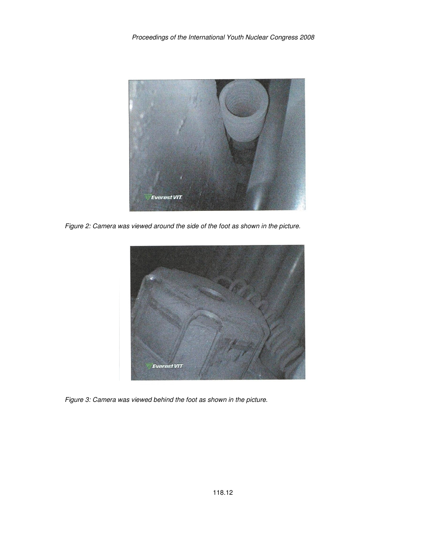

Figure 2: Camera was viewed around the side of the foot as shown in the picture.



Figure 3: Camera was viewed behind the foot as shown in the picture.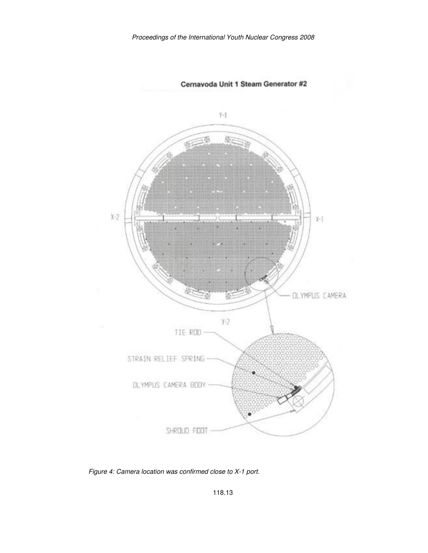

Figure 4: Camera location was confirmed close to X-1 port.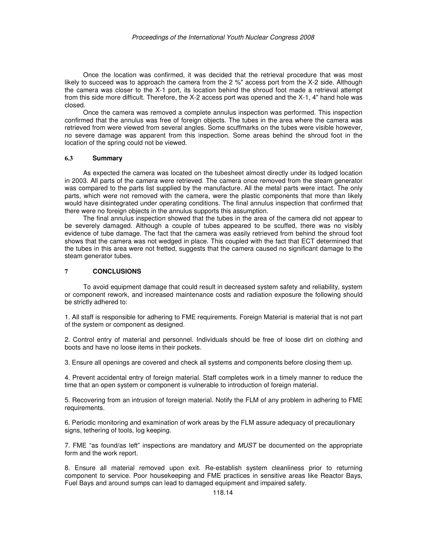Once the location was confirmed, it was decided that the retrieval procedure that was most likely to succeed was to approach the camera from the 2 %" access port from the X-2 side. Although the camera was closer to the X-1 port, its location behind the shroud foot made a retrieval attempt from this side more difficult. Therefore, the X-2 access port was opened and the X-1, 4" hand hole was closed.

Once the camera was removed a complete annulus inspection was performed. This inspection confirmed that the annulus was free of foreign objects. The tubes in the area where the camera was retrieved from were viewed from several angles. Some scuffmarks on the tubes were visible however, no severe damage was apparent from this inspection. Some areas behind the shroud foot in the location of the spring could not be viewed.

#### **6.3 Summary**

As expected the camera was located on the tubesheet almost directly under its lodged location in 2003. All parts of the camera were retrieved. The camera once removed from the steam generator was compared to the parts list supplied by the manufacture. All the metal parts were intact. The only parts, which were not removed with the camera, were the plastic components that more than likely would have disintegrated under operating conditions. The final annulus inspection that confirmed that there were no foreign objects in the annulus supports this assumption.

The final annulus inspection showed that the tubes in the area of the camera did not appear to be severely damaged. Although a couple of tubes appeared to be scuffed, there was no visibly evidence of tube damage. The fact that the camera was easily retrieved from behind the shroud foot shows that the camera was not wedged in place. This coupled with the fact that ECT determined that the tubes in this area were not fretted, suggests that the camera caused no significant damage to the steam generator tubes.

#### **7 CONCLUSIONS**

To avoid equipment damage that could result in decreased system safety and reliability, system or component rework, and increased maintenance costs and radiation exposure the following should be strictly adhered to:

1. All staff is responsible for adhering to FME requirements. Foreign Material is material that is not part of the system or component as designed.

2. Control entry of material and personnel. Individuals should be free of loose dirt on clothing and boots and have no loose items in their pockets.

3. Ensure all openings are covered and check all systems and components before closing them up.

4. Prevent accidental entry of foreign material. Staff completes work in a timely manner to reduce the time that an open system or component is vulnerable to introduction of foreign material.

5. Recovering from an intrusion of foreign material. Notify the FLM of any problem in adhering to FME requirements.

6. Periodic monitoring and examination of work areas by the FLM assure adequacy of precautionary signs, tethering of tools, log keeping.

7. FME "as found/as left" inspections are mandatory and MUST be documented on the appropriate form and the work report.

8. Ensure all material removed upon exit. Re-establish system cleanliness prior to returning component to service. Poor housekeeping and FME practices in sensitive areas like Reactor Bays, Fuel Bays and around sumps can lead to damaged equipment and impaired safety.